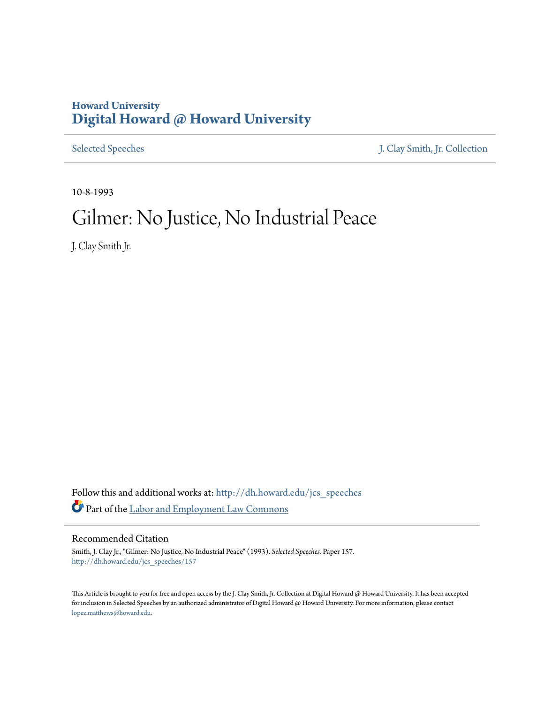## **Howard University [Digital Howard @ Howard University](http://dh.howard.edu?utm_source=dh.howard.edu%2Fjcs_speeches%2F157&utm_medium=PDF&utm_campaign=PDFCoverPages)**

[Selected Speeches](http://dh.howard.edu/jcs_speeches?utm_source=dh.howard.edu%2Fjcs_speeches%2F157&utm_medium=PDF&utm_campaign=PDFCoverPages) [J. Clay Smith, Jr. Collection](http://dh.howard.edu/jcsmith?utm_source=dh.howard.edu%2Fjcs_speeches%2F157&utm_medium=PDF&utm_campaign=PDFCoverPages)

10-8-1993

## Gilmer: No Justice, No Industrial Peace

J. Clay Smith Jr.

Follow this and additional works at: [http://dh.howard.edu/jcs\\_speeches](http://dh.howard.edu/jcs_speeches?utm_source=dh.howard.edu%2Fjcs_speeches%2F157&utm_medium=PDF&utm_campaign=PDFCoverPages) Part of the [Labor and Employment Law Commons](http://network.bepress.com/hgg/discipline/909?utm_source=dh.howard.edu%2Fjcs_speeches%2F157&utm_medium=PDF&utm_campaign=PDFCoverPages)

## Recommended Citation

Smith, J. Clay Jr., "Gilmer: No Justice, No Industrial Peace" (1993). *Selected Speeches.* Paper 157. [http://dh.howard.edu/jcs\\_speeches/157](http://dh.howard.edu/jcs_speeches/157?utm_source=dh.howard.edu%2Fjcs_speeches%2F157&utm_medium=PDF&utm_campaign=PDFCoverPages)

This Article is brought to you for free and open access by the J. Clay Smith, Jr. Collection at Digital Howard @ Howard University. It has been accepted for inclusion in Selected Speeches by an authorized administrator of Digital Howard @ Howard University. For more information, please contact [lopez.matthews@howard.edu.](mailto:lopez.matthews@howard.edu)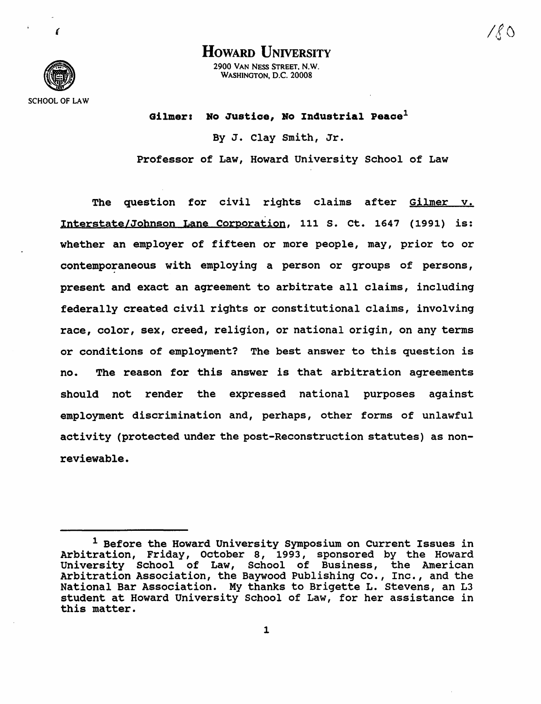

{

HOWARD **UNIVERSITY** 2900 VAN NESS STREET. N.W. WASHINGTON. D.C. 20008

Gilmer: No Justice, No Industrial Peace<sup>1</sup>

By J. Clay smith, Jr. Professor of Law, Howard University School of Law

The question for civil rights claims after Gilmer v. Interstate/Johnson Lane Corporation, 111 S. ct. 1647 (1991) is: whether an employer of fifteen or more people, may, prior to or contemporaneous with employing a person or groups of persons, present and exact an agreement to arbitrate all claims, including federally created civil rights or constitutional claims, involving race, color, sex, creed, religion, or national origin, on any terms or conditions of employment? The best answer to this question is no. The reason for this answer is that arbitration agreements should not render the expressed national purposes against employment discrimination and, perhaps, other forms of unlawful activity (protected under the post-Reconstruction statutes) as nonreviewable.

<sup>1</sup> Before the Howard University Symposium on Current Issues in Arbitration, Friday, October 8, 1993, sponsored by the Howard University School of Law, School of Business, the American Arbitration Association, the Baywood Publishing Co., Inc., and the National Bar Association. My thanks to Brigette L. stevens, an L3 student at Howard University School of Law, for her assistance in this matter.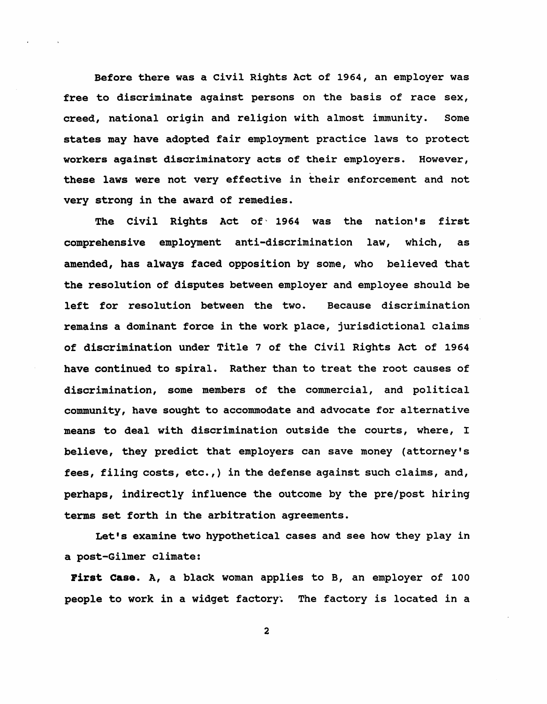Before there was a Civil Rights Act of 1964, an employer was free to discriminate against persons on the basis of race sex, creed, national origin and religion with almost immunity. Some states may have adopted fair employment practice laws to protect workers against discriminatory acts of their employers. However, these laws were not very effective in their enforcement and not very strong in the award of remedies.

The Civil Rights Act of 1964 was the nation's first comprehensive employment anti-discrimination law, which, as amended, has always faced opposition by some, who believed that the resolution of disputes between employer and employee should be left for resolution between the two. Because discrimination remains a dominant force in the work place, jurisdictional claims of discrimination under Title 7 of the civil Rights Act of 1964 have continued to spiral. Rather than to treat the root causes of discrimination, some members of the commercial, and political community, have sought to accommodate and advocate for alternative means to deal with discrimination outside the courts, where, I believe, they predict that employers can save money (attorney's fees, filing costs, etc.,) in the defense against such claims, and, perhaps, indirectly influence the outcome by the pre/post hiring terms set forth in the arbitration agreements.

Let's examine two hypothetical cases and see how they play in a post-Gilmer climate:

First Case. A, a black woman applies to B, an employer of 100 people to work in a widget factory. The factory is located in a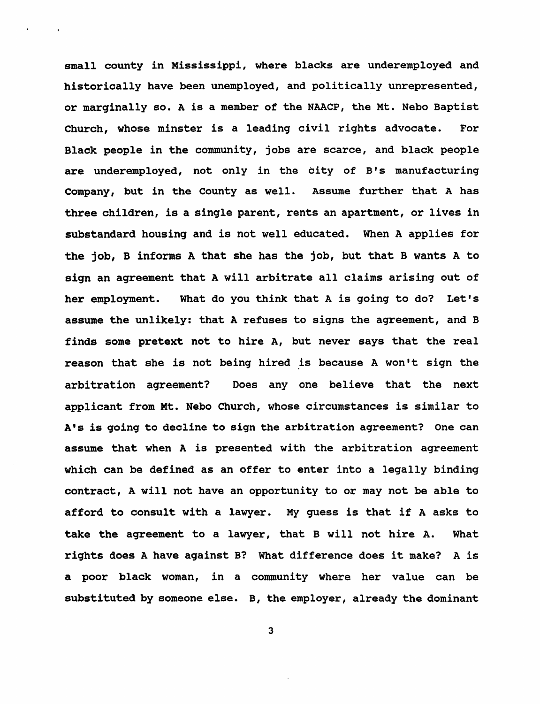small county in Mississippi, where blacks are underemployed and historically have been unemployed, and politically unrepresented, or marginally so. A is a member of the NAACP, the Mt. Nebo Baptist Church, whose minster is a leading civil rights advocate. For Black people in the community, jobs are scarce, and black people are underemployed, not only in the city of B's manufacturing Company, but in the County as well. Assume further that A has three children, is a single parent, rents an apartment, or lives in substandard housing and is not well educated. When A applies for the job, B informs A that she has the job, but that B wants A to sign an agreement that A will arbitrate all claims arising out of her employment. What do you think that A is going to do? Let's assume the unlikely: that A refuses to signs the agreement, and B finds some pretext not to hire A, but never says that the real reason that she is not being hired is because A won't sign the arbitration agreement? Does anyone believe that the next applicant from Mt. Nebo Church, whose circumstances is similar to A's is going to decline to sign the arbitration agreement? One can assume that when A is presented with the arbitration agreement which can be defined as an offer to enter into a legally binding contract, A will not have an opportunity to or may not be able to afford to consult with a lawyer. My guess is that if A asks to take the agreement to a lawyer, that B will not hire A. What rights does A have against B? What difference does it make? A is a poor black woman, in a community where her value can be substituted by someone else. B, the employer, already the dominant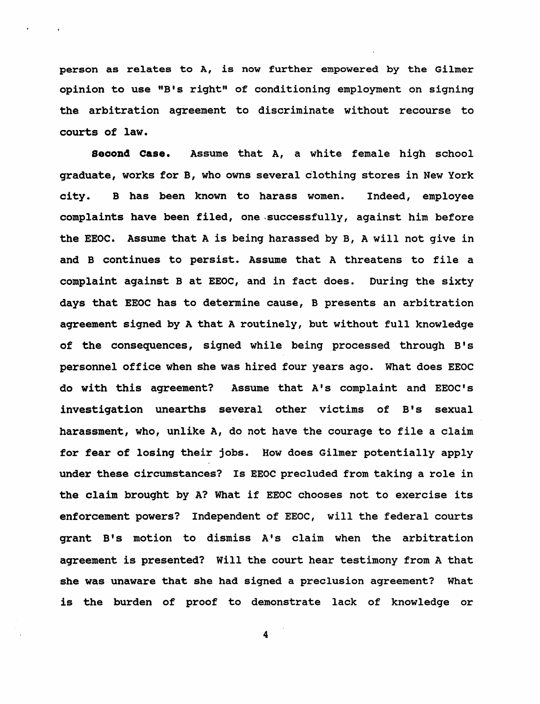person as relates to A, is now further empowered by the Gilmer opinion to use "B's right" of conditioning employment on signing the arbitration agreement to discriminate without recourse to courts of law.

**Second Case.** Assume that A, a white female high school graduate, works for B, who owns several clothing stores in New York city. B has been known to harass women. Indeed, employee complaints have been filed, one ,successfully, against him before the EEOC. Assume that A is being harassed by B, A will not give in and B continues to persist. Assume that A threatens to file a complaint against B at EEOC, and in fact does. During the sixty days that EEOC has to determine cause, B presents an arbitration agreement signed by A that A routinely, but without full knowledge of the consequences, signed while being processed through B's personnel office when she was hired four years ago. What does EEOC do with this agreement? Assume that A's complaint and EEOC's investigation unearths several other victims of B's sexual harassment, who, unlike A, do not have the courage to file a claim for fear of losing their jobs. How does Gilmer potentially apply under these circumstances? Is EEOC precluded from taking a role in the claim brought by A? What if EEOC chooses not to exercise its enforcement powers? Independent of EEOC, will the federal courts grant B's motion to dismiss A's claim when the arbitration agreement is presented? will the court hear testimony from A that she was unaware that she had signed a preclusion agreement? What is the burden of proof to demonstrate lack of knowledge or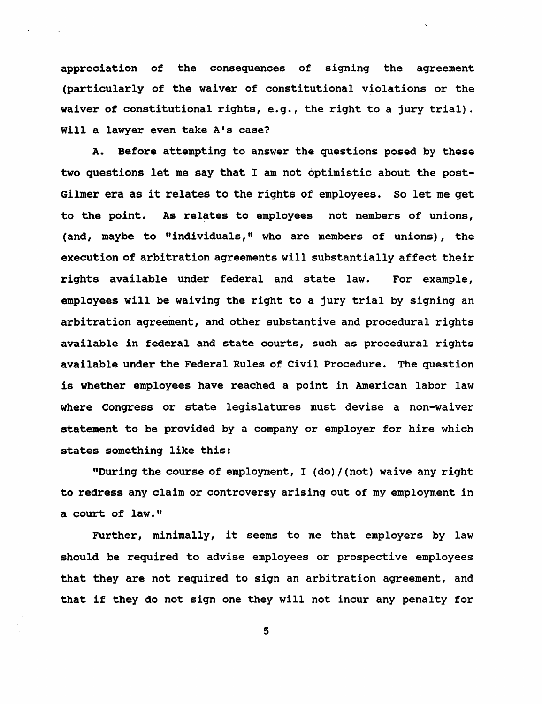appreciation of the consequences of signing the agreement (particularly of the waiver of constitutional violations or the waiver of constitutional rights, e.g., the right to a jury trial). will a lawyer even take A's case?

A. Before attempting to answer the questions posed by these two questions let me say that I am not optimistic about the post-Gilmer era as it relates to the rights of employees. So let me get to the point. As relates to employees not members of unions, (and, maybe to "individuals," who are members of unions), the execution of arbitration agreements will substantially affect their rights available under federal and state law. For example, employees will be waiving the right to a jury trial by signing an arbitration agreement, and other substantive and procedural rights available in federal and state courts, such as procedural rights available under the Federal Rules of civil Procedure. The question is whether employees have reached a point in American labor law where Congress or state legislatures must devise a non-waiver statement to be provided by a company or employer for hire which states something like this:

"Durinq the course of employment, I (do) / (not) waive any right to redress any claim or controversy arising out of my employment in a court of law."

Further, minimally, it seems to me that employers by law should be required to advise employees or prospective employees that they are not required to sign an arbitration agreement, and that if they do not sign one they will not incur any penalty for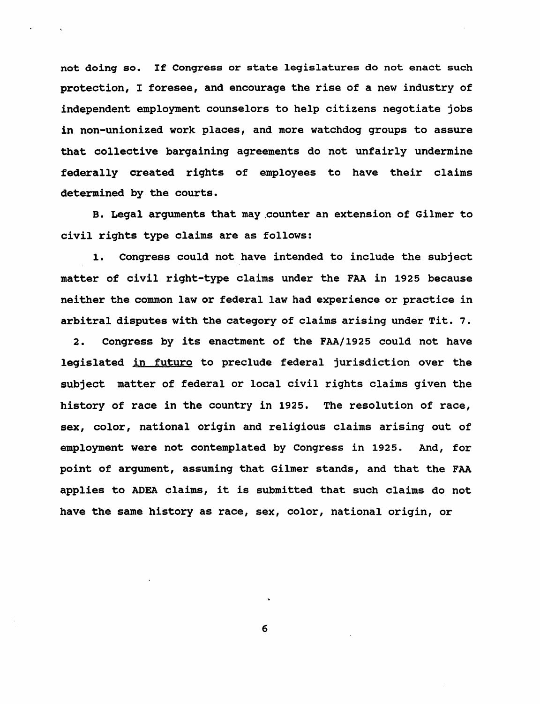not doing so. If Congress or state legislatures do not enact such protection, I foresee, and encourage the rise of a new industry of independent employment counselors to help citizens negotiate jobs in non-unionized work places, and more watchdog groups to assure that collective bargaining agreements do not unfairly undermine federally created rights of employees to have their claims determined by the courts.

B. Legal arguments that may ,counter an extension of Gilmer to civil rights type claims are as follows:

1. Congress could not have intended to include the subject matter of civil right-type claims under the FAA in 1925 because neither the common law or federal law had experience or practice in arbitral disputes with the category of claims arising under Tit. 7.

2. Congress by its enactment of the FAA/1925 could not have legislated in futuro to preclude federal jurisdiction over the subject matter of federal or local civil rights claims given the history of race in the country in 1925. The resolution of race, sex, color, national origin and religious claims arising out of employment were not contemplated by Congress in 1925. And, for point of argument, assuming that Gilmer stands, and that the FAA applies to ADEA claims, it is submitted that such claims do not have the same history as race, sex, color, national origin, or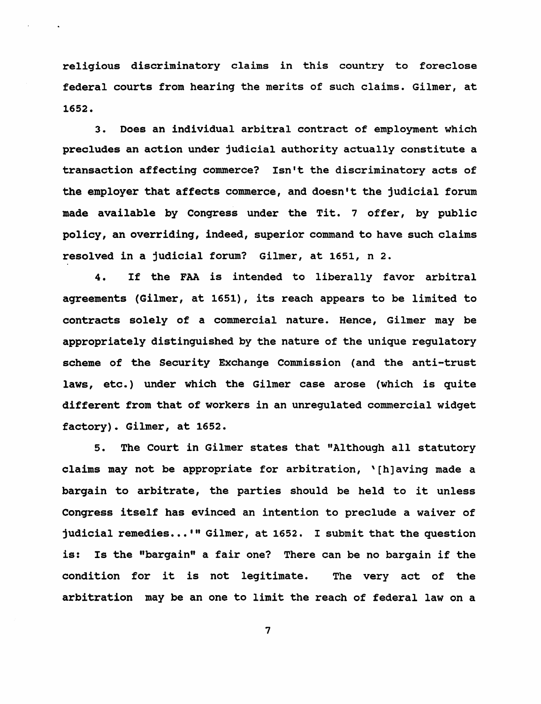religious discriminatory claims in this country to foreclose federal courts from hearing the merits of such claims. Gilmer, at 1652.

3. Does an individual arbitral contract of employment which precludes an action under judicial authority actually constitute a transaction affecting commerce? Isn't the discriminatory acts of the employer that affects commerce, and doesn't the judicial forum made available by Congress under the Tit. 7 offer, by public policy, an overriding, indeed, superior command to have such claims resolved in a judicial forum? Gilmer, at 1651, n 2.

4. If the FAA is intended to liberally favor arbitral agreements (Gilmer, at 1651), its reach appears to be limited to contracts solely of a commercial nature. Hence, Gilmer may be appropriately distinguished by the nature of the unique regulatory scheme of the security Exchange Commission (and the anti-trust laws, etc.) under which the Gilmer case arose (which is quite different from that of workers in an unregulated commercial widget factory). Gilmer, at 1652.

5. The Court in Gilmer states that "Although all statutory claims may not be appropriate for arbitration, '[h]avinq made a bargain to arbitrate, the parties should be held to it unless Congress itself has evinced an intention to preclude a waiver of judicial remedies...'" Gilmer, at 1652. I submit that the question is: Is the "bargain" a fair one? There can be no bargain if the condition for it is not legitimate. The very act of the arbitration may be an one to limit the reach of federal law on a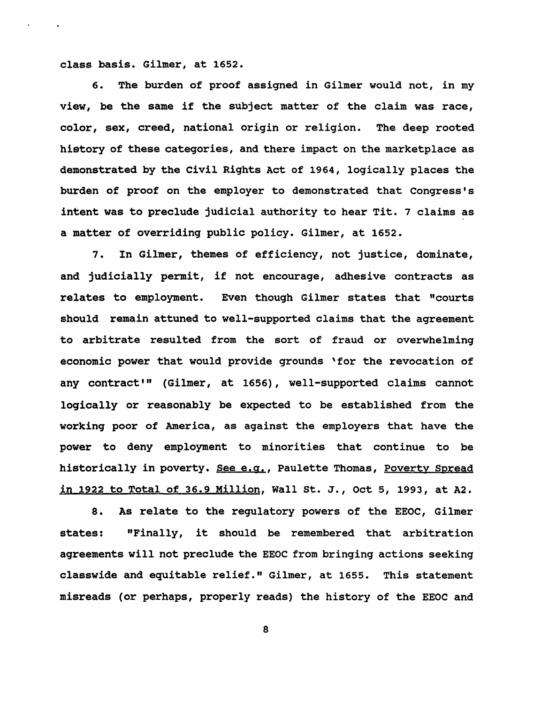class basis. Gilmer, at 1652.

6. The burden of proof assigned in Gilmer would not, in my view, be the same if the subject matter of the claim was race, color, sex, creed, national origin or religion. The deep rooted history of these categories, and there impact on the marketplace as demonstrated by the Civil Rights Act of 1964, logically places the burden of proof on the employer to demonstrated that Congress's intent was to preclude judicial authority to hear Tit. 7 claims as a matter of overriding public policy. Gilmer, at 1652.

7. In Gilmer, themes of efficiency, not justice, dominate, and judicially permit, if not encourage, adhesive contracts as relates to employment. Even though Gilmer states that "courts should remain attuned to well-supported claims that the agreement to arbitrate resulted from the sort of fraud or overwhelming economic power that would provide grounds 'for the revocation of any contract'" (Gilmer, at 1656), well-supported claims cannot logically or reasonably be expected to be established from the working poor of America, as against the employers that have the power to deny employment to minorities that continue to be historically in poverty. See e.g., Paulette Thomas, Poverty Spread in 1922 to Total of 36.9 Million, Wall st. J., oct 5, 1993, at A2.

8. As relate to the regulatory powers of the EEOC, Gilmer states: "Finally, it should be remembered that arbitration agreements will not preclude the EEOC from bringing actions seeking classwide and equitable relief." Gilmer, at 1655. This statement misreads (or perhaps, properly reads) the history of the EEOC and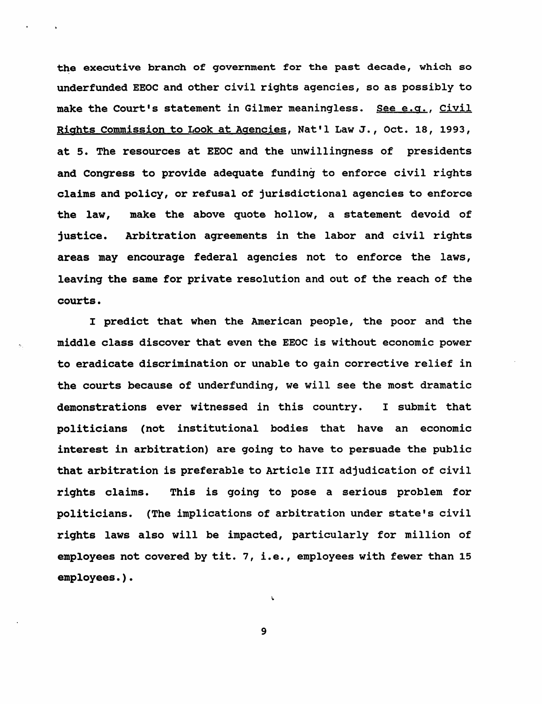the executive branch of government for the past decade, which so underfunded EEOC and other civil rights agencies, so as possibly to make the Court's statement in Gilmer meaningless. See e.g., Civil Rights Commission to Look at Agencies, Nat'l Law J., Oct. 18, 1993, at 5. The resources at EEOC and the unwillingness of presidents and Congress to provide adequate funding to enforce civil rights claims and policy, or refusal of jurisdictional agencies to enforce the law, make the above quote hollow, a statement devoid of justice. Arbitration agreements in the labor and civil rights areas may encourage federal agencies not to enforce the laws, leaving the same for private resolution and out of the reach of the courts.

I predict that when the American people, the poor and the middle class discover that even the EEOC is without economic power to eradicate discrimination or unable to gain corrective relief in the courts because of underfunding, we will see the most dramatic demonstrations ever witnessed in this country. I submit that politicians (not institutional bodies that have an economic interest in arbitration) are going to have to persuade the public that arbitration is preferable to Article III adjudication of civil rights claims. This is going to pose a serious problem for politicians. (The implications of arbitration under state's civil rights laws also will be impacted, particularly for million of employees not covered by tit. 7, i.e., employees with fewer than 15 employees.).

9

L.